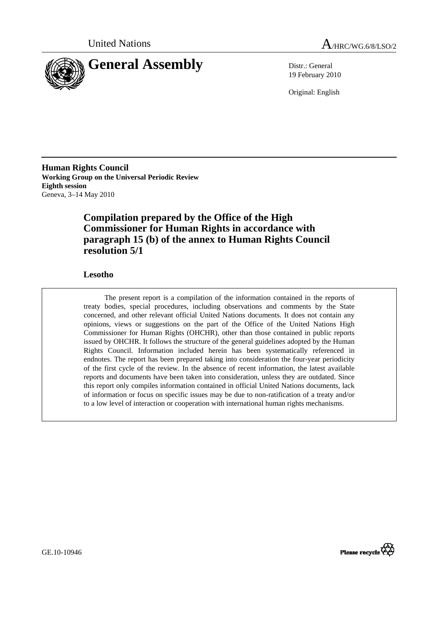



19 February 2010

Original: English

**Human Rights Council Working Group on the Universal Periodic Review Eighth session**  Geneva, 3–14 May 2010

## **Compilation prepared by the Office of the High Commissioner for Human Rights in accordance with paragraph 15 (b) of the annex to Human Rights Council resolution 5/1**

## **Lesotho**

The present report is a compilation of the information contained in the reports of treaty bodies, special procedures, including observations and comments by the State concerned, and other relevant official United Nations documents. It does not contain any opinions, views or suggestions on the part of the Office of the United Nations High Commissioner for Human Rights (OHCHR), other than those contained in public reports issued by OHCHR. It follows the structure of the general guidelines adopted by the Human Rights Council. Information included herein has been systematically referenced in endnotes. The report has been prepared taking into consideration the four-year periodicity of the first cycle of the review. In the absence of recent information, the latest available reports and documents have been taken into consideration, unless they are outdated. Since this report only compiles information contained in official United Nations documents, lack of information or focus on specific issues may be due to non-ratification of a treaty and/or to a low level of interaction or cooperation with international human rights mechanisms.



GE.10-10946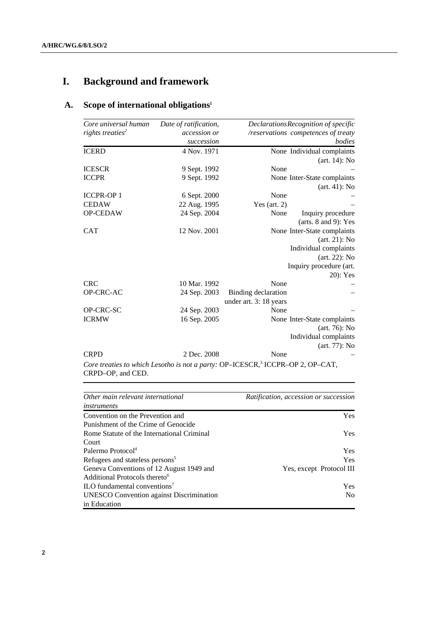# **I. Background and framework**

## **A. Scope of international obligations1**

| Core universal human         | Date of ratification, |                        | DeclarationsRecognition of specific |
|------------------------------|-----------------------|------------------------|-------------------------------------|
| rights treaties <sup>2</sup> | accession or          |                        | /reservations competences of treaty |
|                              | succession            |                        | bodies                              |
| <b>ICERD</b>                 | 4 Nov. 1971           |                        | None Individual complaints          |
|                              |                       |                        | $(art. 14)$ : No                    |
| <b>ICESCR</b>                | 9 Sept. 1992          | None                   |                                     |
| <b>ICCPR</b>                 | 9 Sept. 1992          |                        | None Inter-State complaints         |
|                              |                       |                        | (art. 41): No                       |
| <b>ICCPR-OP1</b>             | 6 Sept. 2000          | None                   |                                     |
| <b>CEDAW</b>                 | 22 Aug. 1995          | Yes (art. $2$ )        |                                     |
| OP-CEDAW                     | 24 Sep. 2004          | None                   | Inquiry procedure                   |
|                              |                       |                        | (arts. $8$ and $9$ ): Yes           |
| <b>CAT</b>                   | 12 Nov. 2001          |                        | None Inter-State complaints         |
|                              |                       |                        | $(art. 21)$ : No                    |
|                              |                       |                        | Individual complaints               |
|                              |                       |                        | $(art. 22)$ : No                    |
|                              |                       |                        | Inquiry procedure (art.             |
|                              |                       |                        | 20): Yes                            |
| <b>CRC</b>                   | 10 Mar. 1992          | None                   |                                     |
| <b>OP-CRC-AC</b>             | 24 Sep. 2003          | Binding declaration    |                                     |
|                              |                       | under art. 3: 18 years |                                     |
| OP-CRC-SC                    | 24 Sep. 2003          | None                   |                                     |
| <b>ICRMW</b>                 | 16 Sep. 2005          |                        | None Inter-State complaints         |
|                              |                       |                        | $(art. 76)$ : No                    |
|                              |                       |                        | Individual complaints               |
|                              |                       |                        | (art. 77): No                       |
| <b>CRPD</b>                  | 2 Dec. 2008           | None                   |                                     |

Core treaties to which Lesotho is not a party: OP-ICESCR,<sup>3</sup> ICCPR-OP 2, OP-CAT, CRPD–OP, and CED.

| Other main relevant international               | Ratification, accession or succession |
|-------------------------------------------------|---------------------------------------|
| instruments                                     |                                       |
| Convention on the Prevention and                | <b>Yes</b>                            |
| Punishment of the Crime of Genocide             |                                       |
| Rome Statute of the International Criminal      | <b>Yes</b>                            |
| Court                                           |                                       |
| Palermo Protocol <sup>4</sup>                   | <b>Yes</b>                            |
| Refugees and stateless persons <sup>5</sup>     | <b>Yes</b>                            |
| Geneva Conventions of 12 August 1949 and        | Yes, except Protocol III              |
| Additional Protocols thereto <sup>6</sup>       |                                       |
| ILO fundamental conventions <sup>7</sup>        | <b>Yes</b>                            |
| <b>UNESCO</b> Convention against Discrimination | No.                                   |
| in Education                                    |                                       |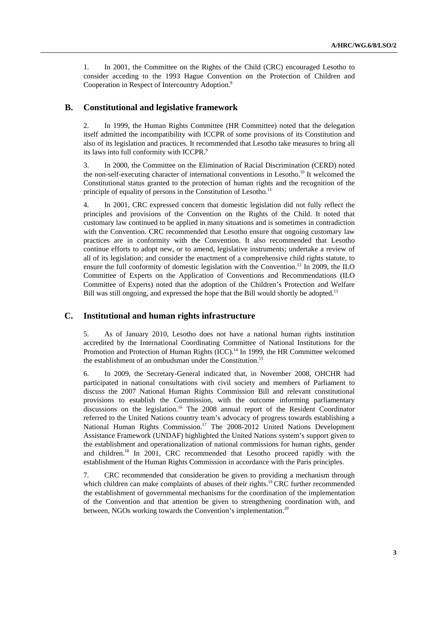1. In 2001, the Committee on the Rights of the Child (CRC) encouraged Lesotho to consider acceding to the 1993 Hague Convention on the Protection of Children and Cooperation in Respect of Intercountry Adoption.8

#### **B. Constitutional and legislative framework**

2. In 1999, the Human Rights Committee (HR Committee) noted that the delegation itself admitted the incompatibility with ICCPR of some provisions of its Constitution and also of its legislation and practices. It recommended that Lesotho take measures to bring all its laws into full conformity with ICCPR.<sup>9</sup>

3. In 2000, the Committee on the Elimination of Racial Discrimination (CERD) noted the non-self-executing character of international conventions in Lesotho.<sup>10</sup> It welcomed the Constitutional status granted to the protection of human rights and the recognition of the principle of equality of persons in the Constitution of Lesotho.<sup>11</sup>

4. In 2001, CRC expressed concern that domestic legislation did not fully reflect the principles and provisions of the Convention on the Rights of the Child. It noted that customary law continued to be applied in many situations and is sometimes in contradiction with the Convention. CRC recommended that Lesotho ensure that ongoing customary law practices are in conformity with the Convention. It also recommended that Lesotho continue efforts to adopt new, or to amend, legislative instruments; undertake a review of all of its legislation; and consider the enactment of a comprehensive child rights statute, to ensure the full conformity of domestic legislation with the Convention.<sup>12</sup> In 2009, the ILO Committee of Experts on the Application of Conventions and Recommendations (ILO Committee of Experts) noted that the adoption of the Children's Protection and Welfare Bill was still ongoing, and expressed the hope that the Bill would shortly be adopted.<sup>13</sup>

#### **C. Institutional and human rights infrastructure**

5. As of January 2010, Lesotho does not have a national human rights institution accredited by the International Coordinating Committee of National Institutions for the Promotion and Protection of Human Rights (ICC).<sup>14</sup> In 1999, the HR Committee welcomed the establishment of an ombudsman under the Constitution.<sup>15</sup>

6. In 2009, the Secretary-General indicated that, in November 2008, OHCHR had participated in national consultations with civil society and members of Parliament to discuss the 2007 National Human Rights Commission Bill and relevant constitutional provisions to establish the Commission, with the outcome informing parliamentary discussions on the legislation.16 The 2008 annual report of the Resident Coordinator referred to the United Nations country team's advocacy of progress towards establishing a National Human Rights Commission.<sup>17</sup> The 2008-2012 United Nations Development Assistance Framework (UNDAF) highlighted the United Nations system's support given to the establishment and operationalization of national commissions for human rights, gender and children.18 In 2001, CRC recommended that Lesotho proceed rapidly with the establishment of the Human Rights Commission in accordance with the Paris principles.

7. CRC recommended that consideration be given to providing a mechanism through which children can make complaints of abuses of their rights.<sup>19</sup> CRC further recommended the establishment of governmental mechanisms for the coordination of the implementation of the Convention and that attention be given to strengthening coordination with, and between, NGOs working towards the Convention's implementation.<sup>20</sup>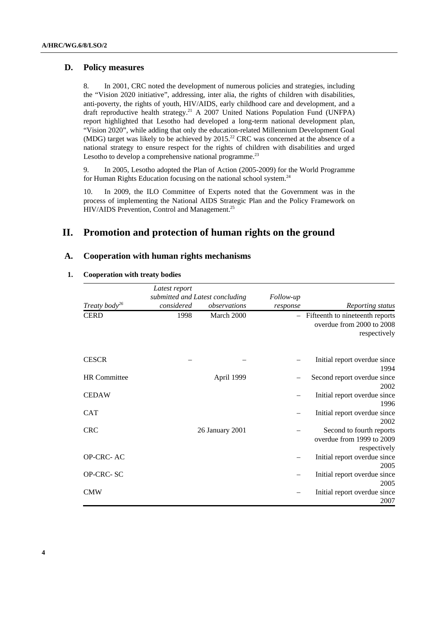## **D. Policy measures**

8. In 2001, CRC noted the development of numerous policies and strategies, including the "Vision 2020 initiative", addressing, inter alia, the rights of children with disabilities, anti-poverty, the rights of youth, HIV/AIDS, early childhood care and development, and a draft reproductive health strategy.<sup>21</sup> A 2007 United Nations Population Fund (UNFPA) report highlighted that Lesotho had developed a long-term national development plan, "Vision 2020", while adding that only the education-related Millennium Development Goal (MDG) target was likely to be achieved by  $2015<sup>22</sup>$  CRC was concerned at the absence of a national strategy to ensure respect for the rights of children with disabilities and urged Lesotho to develop a comprehensive national programme. $^{23}$ 

9. In 2005, Lesotho adopted the Plan of Action (2005-2009) for the World Programme for Human Rights Education focusing on the national school system.<sup>24</sup>

10. In 2009, the ILO Committee of Experts noted that the Government was in the process of implementing the National AIDS Strategic Plan and the Policy Framework on HIV/AIDS Prevention, Control and Management.<sup>25</sup>

## **II. Promotion and protection of human rights on the ground**

## **A. Cooperation with human rights mechanisms**

#### **1. Cooperation with treaty bodies**

|                           | Latest report                                 |                 |                       |                                                                                |
|---------------------------|-----------------------------------------------|-----------------|-----------------------|--------------------------------------------------------------------------------|
| Treaty body <sup>26</sup> | submitted and Latest concluding<br>considered | observations    | Follow-up<br>response | Reporting status                                                               |
| <b>CERD</b>               | 1998                                          | March 2000      |                       | - Fifteenth to nineteenth reports<br>overdue from 2000 to 2008<br>respectively |
| <b>CESCR</b>              |                                               |                 |                       | Initial report overdue since<br>1994                                           |
| <b>HR</b> Committee       |                                               | April 1999      |                       | Second report overdue since<br>2002                                            |
| <b>CEDAW</b>              |                                               |                 |                       | Initial report overdue since<br>1996                                           |
| <b>CAT</b>                |                                               |                 |                       | Initial report overdue since<br>2002                                           |
| <b>CRC</b>                |                                               | 26 January 2001 |                       | Second to fourth reports<br>overdue from 1999 to 2009<br>respectively          |
| OP-CRC-AC                 |                                               |                 |                       | Initial report overdue since<br>2005                                           |
| OP-CRC-SC                 |                                               |                 |                       | Initial report overdue since<br>2005                                           |
| <b>CMW</b>                |                                               |                 |                       | Initial report overdue since<br>2007                                           |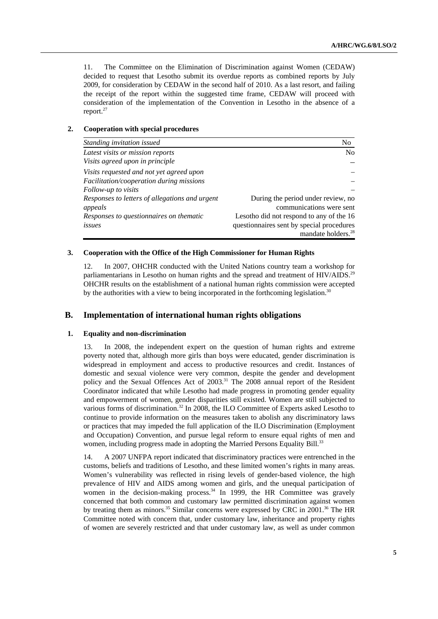11. The Committee on the Elimination of Discrimination against Women (CEDAW) decided to request that Lesotho submit its overdue reports as combined reports by July 2009, for consideration by CEDAW in the second half of 2010. As a last resort, and failing the receipt of the report within the suggested time frame, CEDAW will proceed with consideration of the implementation of the Convention in Lesotho in the absence of a report.27

#### **2. Cooperation with special procedures**

| Standing invitation issued                     | No                                        |
|------------------------------------------------|-------------------------------------------|
| Latest visits or mission reports               | No.                                       |
| Visits agreed upon in principle                |                                           |
| Visits requested and not yet agreed upon       |                                           |
| Facilitation/cooperation during missions       |                                           |
| Follow-up to visits                            |                                           |
| Responses to letters of allegations and urgent | During the period under review, no        |
| appeals                                        | communications were sent                  |
| Responses to questionnaires on thematic        | Lesotho did not respond to any of the 16  |
| issues                                         | questionnaires sent by special procedures |
|                                                | mandate holders. <sup>28</sup>            |

#### **3. Cooperation with the Office of the High Commissioner for Human Rights**

12. In 2007, OHCHR conducted with the United Nations country team a workshop for parliamentarians in Lesotho on human rights and the spread and treatment of HIV/AIDS.<sup>29</sup> OHCHR results on the establishment of a national human rights commission were accepted by the authorities with a view to being incorporated in the forthcoming legislation.<sup>30</sup>

#### **B. Implementation of international human rights obligations**

#### **1. Equality and non-discrimination**

13. In 2008, the independent expert on the question of human rights and extreme poverty noted that, although more girls than boys were educated, gender discrimination is widespread in employment and access to productive resources and credit. Instances of domestic and sexual violence were very common, despite the gender and development policy and the Sexual Offences Act of 2003.<sup>31</sup> The 2008 annual report of the Resident Coordinator indicated that while Lesotho had made progress in promoting gender equality and empowerment of women, gender disparities still existed. Women are still subjected to various forms of discrimination.32 In 2008, the ILO Committee of Experts asked Lesotho to continue to provide information on the measures taken to abolish any discriminatory laws or practices that may impeded the full application of the ILO Discrimination (Employment and Occupation) Convention, and pursue legal reform to ensure equal rights of men and women, including progress made in adopting the Married Persons Equality Bill.<sup>33</sup>

14. A 2007 UNFPA report indicated that discriminatory practices were entrenched in the customs, beliefs and traditions of Lesotho, and these limited women's rights in many areas. Women's vulnerability was reflected in rising levels of gender-based violence, the high prevalence of HIV and AIDS among women and girls, and the unequal participation of women in the decision-making process. $34$  In 1999, the HR Committee was gravely concerned that both common and customary law permitted discrimination against women by treating them as minors.<sup>35</sup> Similar concerns were expressed by CRC in 2001.<sup>36</sup> The HR Committee noted with concern that, under customary law, inheritance and property rights of women are severely restricted and that under customary law, as well as under common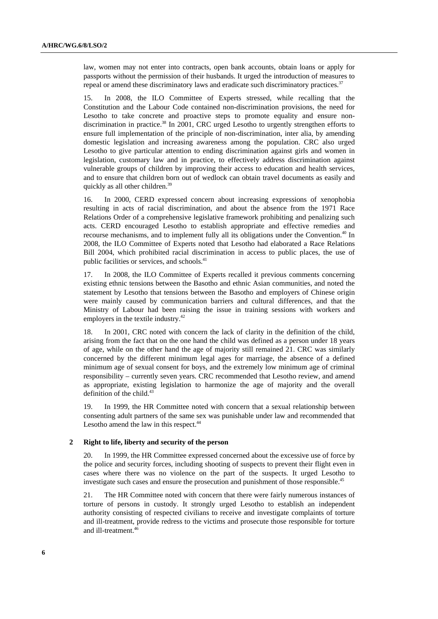law, women may not enter into contracts, open bank accounts, obtain loans or apply for passports without the permission of their husbands. It urged the introduction of measures to repeal or amend these discriminatory laws and eradicate such discriminatory practices.<sup>37</sup>

15. In 2008, the ILO Committee of Experts stressed, while recalling that the Constitution and the Labour Code contained non-discrimination provisions, the need for Lesotho to take concrete and proactive steps to promote equality and ensure nondiscrimination in practice.<sup>38</sup> In 2001, CRC urged Lesotho to urgently strengthen efforts to ensure full implementation of the principle of non-discrimination, inter alia, by amending domestic legislation and increasing awareness among the population. CRC also urged Lesotho to give particular attention to ending discrimination against girls and women in legislation, customary law and in practice, to effectively address discrimination against vulnerable groups of children by improving their access to education and health services, and to ensure that children born out of wedlock can obtain travel documents as easily and quickly as all other children.<sup>39</sup>

16. In 2000, CERD expressed concern about increasing expressions of xenophobia resulting in acts of racial discrimination, and about the absence from the 1971 Race Relations Order of a comprehensive legislative framework prohibiting and penalizing such acts. CERD encouraged Lesotho to establish appropriate and effective remedies and recourse mechanisms, and to implement fully all its obligations under the Convention.<sup>40</sup> In 2008, the ILO Committee of Experts noted that Lesotho had elaborated a Race Relations Bill 2004, which prohibited racial discrimination in access to public places, the use of public facilities or services, and schools.<sup>41</sup>

17. In 2008, the ILO Committee of Experts recalled it previous comments concerning existing ethnic tensions between the Basotho and ethnic Asian communities, and noted the statement by Lesotho that tensions between the Basotho and employers of Chinese origin were mainly caused by communication barriers and cultural differences, and that the Ministry of Labour had been raising the issue in training sessions with workers and employers in the textile industry.<sup>42</sup>

18. In 2001, CRC noted with concern the lack of clarity in the definition of the child, arising from the fact that on the one hand the child was defined as a person under 18 years of age, while on the other hand the age of majority still remained 21. CRC was similarly concerned by the different minimum legal ages for marriage, the absence of a defined minimum age of sexual consent for boys, and the extremely low minimum age of criminal responsibility – currently seven years. CRC recommended that Lesotho review, and amend as appropriate, existing legislation to harmonize the age of majority and the overall definition of the child. $43$ 

19. In 1999, the HR Committee noted with concern that a sexual relationship between consenting adult partners of the same sex was punishable under law and recommended that Lesotho amend the law in this respect.<sup>44</sup>

#### **2 Right to life, liberty and security of the person**

20. In 1999, the HR Committee expressed concerned about the excessive use of force by the police and security forces, including shooting of suspects to prevent their flight even in cases where there was no violence on the part of the suspects. It urged Lesotho to investigate such cases and ensure the prosecution and punishment of those responsible.<sup>45</sup>

21. The HR Committee noted with concern that there were fairly numerous instances of torture of persons in custody. It strongly urged Lesotho to establish an independent authority consisting of respected civilians to receive and investigate complaints of torture and ill-treatment, provide redress to the victims and prosecute those responsible for torture and ill-treatment.46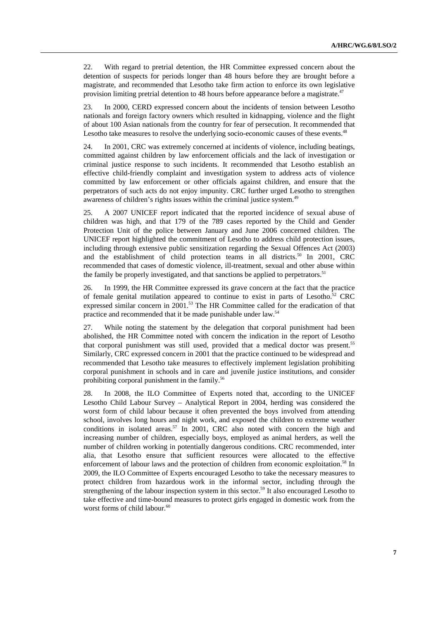22. With regard to pretrial detention, the HR Committee expressed concern about the detention of suspects for periods longer than 48 hours before they are brought before a magistrate, and recommended that Lesotho take firm action to enforce its own legislative provision limiting pretrial detention to 48 hours before appearance before a magistrate.<sup>47</sup>

23. In 2000, CERD expressed concern about the incidents of tension between Lesotho nationals and foreign factory owners which resulted in kidnapping, violence and the flight of about 100 Asian nationals from the country for fear of persecution. It recommended that Lesotho take measures to resolve the underlying socio-economic causes of these events.<sup>48</sup>

24. In 2001, CRC was extremely concerned at incidents of violence, including beatings, committed against children by law enforcement officials and the lack of investigation or criminal justice response to such incidents. It recommended that Lesotho establish an effective child-friendly complaint and investigation system to address acts of violence committed by law enforcement or other officials against children, and ensure that the perpetrators of such acts do not enjoy impunity. CRC further urged Lesotho to strengthen awareness of children's rights issues within the criminal justice system.<sup>49</sup>

25. A 2007 UNICEF report indicated that the reported incidence of sexual abuse of children was high, and that 179 of the 789 cases reported by the Child and Gender Protection Unit of the police between January and June 2006 concerned children. The UNICEF report highlighted the commitment of Lesotho to address child protection issues, including through extensive public sensitization regarding the Sexual Offences Act (2003) and the establishment of child protection teams in all districts.<sup>50</sup> In 2001, CRC recommended that cases of domestic violence, ill-treatment, sexual and other abuse within the family be properly investigated, and that sanctions be applied to perpetrators.<sup>51</sup>

26. In 1999, the HR Committee expressed its grave concern at the fact that the practice of female genital mutilation appeared to continue to exist in parts of Lesotho.<sup>52</sup> CRC expressed similar concern in 2001.<sup>53</sup> The HR Committee called for the eradication of that practice and recommended that it be made punishable under law.54

27. While noting the statement by the delegation that corporal punishment had been abolished, the HR Committee noted with concern the indication in the report of Lesotho that corporal punishment was still used, provided that a medical doctor was present.55 Similarly, CRC expressed concern in 2001 that the practice continued to be widespread and recommended that Lesotho take measures to effectively implement legislation prohibiting corporal punishment in schools and in care and juvenile justice institutions, and consider prohibiting corporal punishment in the family.<sup>56</sup>

28. In 2008, the ILO Committee of Experts noted that, according to the UNICEF Lesotho Child Labour Survey – Analytical Report in 2004, herding was considered the worst form of child labour because it often prevented the boys involved from attending school, involves long hours and night work, and exposed the children to extreme weather conditions in isolated areas.<sup>57</sup> In 2001, CRC also noted with concern the high and increasing number of children, especially boys, employed as animal herders, as well the number of children working in potentially dangerous conditions. CRC recommended, inter alia, that Lesotho ensure that sufficient resources were allocated to the effective enforcement of labour laws and the protection of children from economic exploitation.<sup>58</sup> In 2009, the ILO Committee of Experts encouraged Lesotho to take the necessary measures to protect children from hazardous work in the informal sector, including through the strengthening of the labour inspection system in this sector.<sup>59</sup> It also encouraged Lesotho to take effective and time-bound measures to protect girls engaged in domestic work from the worst forms of child labour.<sup>60</sup>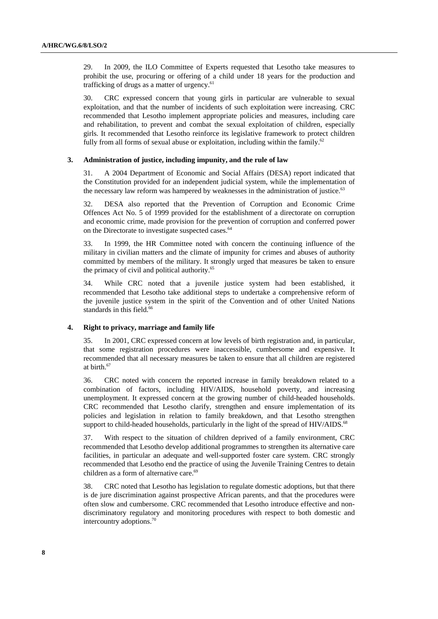29. In 2009, the ILO Committee of Experts requested that Lesotho take measures to prohibit the use, procuring or offering of a child under 18 years for the production and trafficking of drugs as a matter of urgency. $61$ 

30. CRC expressed concern that young girls in particular are vulnerable to sexual exploitation, and that the number of incidents of such exploitation were increasing. CRC recommended that Lesotho implement appropriate policies and measures, including care and rehabilitation, to prevent and combat the sexual exploitation of children, especially girls. It recommended that Lesotho reinforce its legislative framework to protect children fully from all forms of sexual abuse or exploitation, including within the family.<sup>62</sup>

#### **3. Administration of justice, including impunity, and the rule of law**

31. A 2004 Department of Economic and Social Affairs (DESA) report indicated that the Constitution provided for an independent judicial system, while the implementation of the necessary law reform was hampered by weaknesses in the administration of justice.<sup>63</sup>

32. DESA also reported that the Prevention of Corruption and Economic Crime Offences Act No. 5 of 1999 provided for the establishment of a directorate on corruption and economic crime, made provision for the prevention of corruption and conferred power on the Directorate to investigate suspected cases.<sup>64</sup>

33. In 1999, the HR Committee noted with concern the continuing influence of the military in civilian matters and the climate of impunity for crimes and abuses of authority committed by members of the military. It strongly urged that measures be taken to ensure the primacy of civil and political authority.<sup>65</sup>

34. While CRC noted that a juvenile justice system had been established, it recommended that Lesotho take additional steps to undertake a comprehensive reform of the juvenile justice system in the spirit of the Convention and of other United Nations standards in this field.<sup>66</sup>

#### **4. Right to privacy, marriage and family life**

35. In 2001, CRC expressed concern at low levels of birth registration and, in particular, that some registration procedures were inaccessible, cumbersome and expensive. It recommended that all necessary measures be taken to ensure that all children are registered at birth.<sup>67</sup>

36. CRC noted with concern the reported increase in family breakdown related to a combination of factors, including HIV/AIDS, household poverty, and increasing unemployment. It expressed concern at the growing number of child-headed households. CRC recommended that Lesotho clarify, strengthen and ensure implementation of its policies and legislation in relation to family breakdown, and that Lesotho strengthen support to child-headed households, particularly in the light of the spread of HIV/AIDS.<sup>68</sup>

37. With respect to the situation of children deprived of a family environment, CRC recommended that Lesotho develop additional programmes to strengthen its alternative care facilities, in particular an adequate and well-supported foster care system. CRC strongly recommended that Lesotho end the practice of using the Juvenile Training Centres to detain children as a form of alternative care.<sup>69</sup>

38. CRC noted that Lesotho has legislation to regulate domestic adoptions, but that there is de jure discrimination against prospective African parents, and that the procedures were often slow and cumbersome. CRC recommended that Lesotho introduce effective and nondiscriminatory regulatory and monitoring procedures with respect to both domestic and intercountry adoptions.70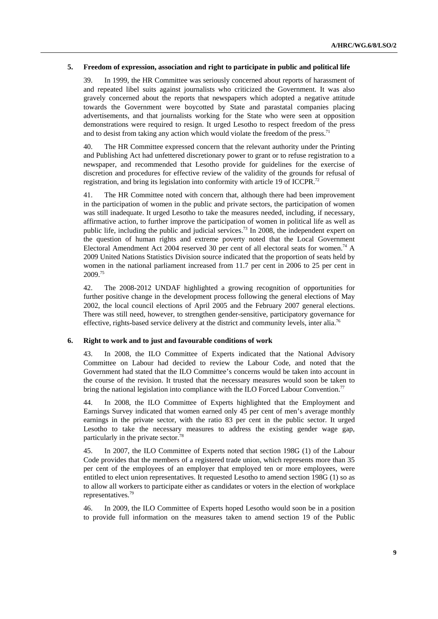#### **5. Freedom of expression, association and right to participate in public and political life**

39. In 1999, the HR Committee was seriously concerned about reports of harassment of and repeated libel suits against journalists who criticized the Government. It was also gravely concerned about the reports that newspapers which adopted a negative attitude towards the Government were boycotted by State and parastatal companies placing advertisements, and that journalists working for the State who were seen at opposition demonstrations were required to resign. It urged Lesotho to respect freedom of the press and to desist from taking any action which would violate the freedom of the press.<sup>71</sup>

40. The HR Committee expressed concern that the relevant authority under the Printing and Publishing Act had unfettered discretionary power to grant or to refuse registration to a newspaper, and recommended that Lesotho provide for guidelines for the exercise of discretion and procedures for effective review of the validity of the grounds for refusal of registration, and bring its legislation into conformity with article 19 of ICCPR.<sup>72</sup>

41. The HR Committee noted with concern that, although there had been improvement in the participation of women in the public and private sectors, the participation of women was still inadequate. It urged Lesotho to take the measures needed, including, if necessary, affirmative action, to further improve the participation of women in political life as well as public life, including the public and judicial services.<sup>73</sup> In 2008, the independent expert on the question of human rights and extreme poverty noted that the Local Government Electoral Amendment Act 2004 reserved 30 per cent of all electoral seats for women.<sup>74</sup> A 2009 United Nations Statistics Division source indicated that the proportion of seats held by women in the national parliament increased from 11.7 per cent in 2006 to 25 per cent in 2009.75

42. The 2008-2012 UNDAF highlighted a growing recognition of opportunities for further positive change in the development process following the general elections of May 2002, the local council elections of April 2005 and the February 2007 general elections. There was still need, however, to strengthen gender-sensitive, participatory governance for effective, rights-based service delivery at the district and community levels, inter alia.<sup>76</sup>

#### **6. Right to work and to just and favourable conditions of work**

43. In 2008, the ILO Committee of Experts indicated that the National Advisory Committee on Labour had decided to review the Labour Code, and noted that the Government had stated that the ILO Committee's concerns would be taken into account in the course of the revision. It trusted that the necessary measures would soon be taken to bring the national legislation into compliance with the ILO Forced Labour Convention.<sup>77</sup>

44. In 2008, the ILO Committee of Experts highlighted that the Employment and Earnings Survey indicated that women earned only 45 per cent of men's average monthly earnings in the private sector, with the ratio 83 per cent in the public sector. It urged Lesotho to take the necessary measures to address the existing gender wage gap, particularly in the private sector.<sup>7</sup>

45. In 2007, the ILO Committee of Experts noted that section 198G (1) of the Labour Code provides that the members of a registered trade union, which represents more than 35 per cent of the employees of an employer that employed ten or more employees, were entitled to elect union representatives. It requested Lesotho to amend section 198G (1) so as to allow all workers to participate either as candidates or voters in the election of workplace representatives.79

46. In 2009, the ILO Committee of Experts hoped Lesotho would soon be in a position to provide full information on the measures taken to amend section 19 of the Public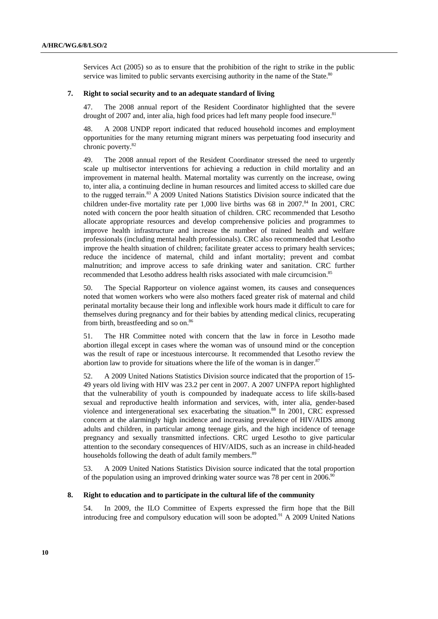Services Act (2005) so as to ensure that the prohibition of the right to strike in the public service was limited to public servants exercising authority in the name of the State.<sup>80</sup>

#### **7. Right to social security and to an adequate standard of living**

47. The 2008 annual report of the Resident Coordinator highlighted that the severe drought of 2007 and, inter alia, high food prices had left many people food insecure. $81$ 

48. A 2008 UNDP report indicated that reduced household incomes and employment opportunities for the many returning migrant miners was perpetuating food insecurity and chronic poverty.82

49. The 2008 annual report of the Resident Coordinator stressed the need to urgently scale up multisector interventions for achieving a reduction in child mortality and an improvement in maternal health. Maternal mortality was currently on the increase, owing to, inter alia, a continuing decline in human resources and limited access to skilled care due to the rugged terrain.<sup>83</sup> A 2009 United Nations Statistics Division source indicated that the children under-five mortality rate per  $1,000$  live births was 68 in 2007.<sup>84</sup> In 2001, CRC noted with concern the poor health situation of children. CRC recommended that Lesotho allocate appropriate resources and develop comprehensive policies and programmes to improve health infrastructure and increase the number of trained health and welfare professionals (including mental health professionals). CRC also recommended that Lesotho improve the health situation of children; facilitate greater access to primary health services; reduce the incidence of maternal, child and infant mortality; prevent and combat malnutrition; and improve access to safe drinking water and sanitation. CRC further recommended that Lesotho address health risks associated with male circumcision.<sup>85</sup>

50. The Special Rapporteur on violence against women, its causes and consequences noted that women workers who were also mothers faced greater risk of maternal and child perinatal mortality because their long and inflexible work hours made it difficult to care for themselves during pregnancy and for their babies by attending medical clinics, recuperating from birth, breastfeeding and so on.<sup>86</sup>

51. The HR Committee noted with concern that the law in force in Lesotho made abortion illegal except in cases where the woman was of unsound mind or the conception was the result of rape or incestuous intercourse. It recommended that Lesotho review the abortion law to provide for situations where the life of the woman is in danger. $87$ 

52. A 2009 United Nations Statistics Division source indicated that the proportion of 15- 49 years old living with HIV was 23.2 per cent in 2007. A 2007 UNFPA report highlighted that the vulnerability of youth is compounded by inadequate access to life skills-based sexual and reproductive health information and services, with, inter alia, gender-based violence and intergenerational sex exacerbating the situation.<sup>88</sup> In 2001, CRC expressed concern at the alarmingly high incidence and increasing prevalence of HIV/AIDS among adults and children, in particular among teenage girls, and the high incidence of teenage pregnancy and sexually transmitted infections. CRC urged Lesotho to give particular attention to the secondary consequences of HIV/AIDS, such as an increase in child-headed households following the death of adult family members.<sup>89</sup>

53. A 2009 United Nations Statistics Division source indicated that the total proportion of the population using an improved drinking water source was 78 per cent in 2006.<sup>91</sup>

#### **8. Right to education and to participate in the cultural life of the community**

54. In 2009, the ILO Committee of Experts expressed the firm hope that the Bill introducing free and compulsory education will soon be adopted.<sup>91</sup> A 2009 United Nations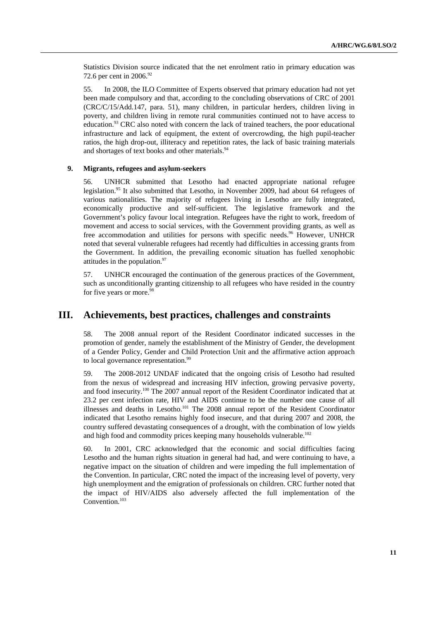Statistics Division source indicated that the net enrolment ratio in primary education was 72.6 per cent in 2006.<sup>92</sup>

55. In 2008, the ILO Committee of Experts observed that primary education had not yet been made compulsory and that, according to the concluding observations of CRC of 2001 (CRC/C/15/Add.147, para. 51), many children, in particular herders, children living in poverty, and children living in remote rural communities continued not to have access to education.<sup>93</sup> CRC also noted with concern the lack of trained teachers, the poor educational infrastructure and lack of equipment, the extent of overcrowding, the high pupil-teacher ratios, the high drop-out, illiteracy and repetition rates, the lack of basic training materials and shortages of text books and other materials.<sup>94</sup>

#### **9. Migrants, refugees and asylum-seekers**

56. UNHCR submitted that Lesotho had enacted appropriate national refugee legislation.<sup>95</sup> It also submitted that Lesotho, in November 2009, had about 64 refugees of various nationalities. The majority of refugees living in Lesotho are fully integrated, economically productive and self-sufficient. The legislative framework and the Government's policy favour local integration. Refugees have the right to work, freedom of movement and access to social services, with the Government providing grants, as well as free accommodation and utilities for persons with specific needs.<sup>96</sup> However, UNHCR noted that several vulnerable refugees had recently had difficulties in accessing grants from the Government. In addition, the prevailing economic situation has fuelled xenophobic attitudes in the population.<sup>97</sup>

57. UNHCR encouraged the continuation of the generous practices of the Government, such as unconditionally granting citizenship to all refugees who have resided in the country for five years or more. $98$ 

## **III. Achievements, best practices, challenges and constraints**

58. The 2008 annual report of the Resident Coordinator indicated successes in the promotion of gender, namely the establishment of the Ministry of Gender, the development of a Gender Policy, Gender and Child Protection Unit and the affirmative action approach to local governance representation.<sup>99</sup>

59. The 2008-2012 UNDAF indicated that the ongoing crisis of Lesotho had resulted from the nexus of widespread and increasing HIV infection, growing pervasive poverty, and food insecurity.100 The 2007 annual report of the Resident Coordinator indicated that at 23.2 per cent infection rate, HIV and AIDS continue to be the number one cause of all illnesses and deaths in Lesotho.<sup>101</sup> The 2008 annual report of the Resident Coordinator indicated that Lesotho remains highly food insecure, and that during 2007 and 2008, the country suffered devastating consequences of a drought, with the combination of low yields and high food and commodity prices keeping many households vulnerable.<sup>102</sup>

60. In 2001, CRC acknowledged that the economic and social difficulties facing Lesotho and the human rights situation in general had had, and were continuing to have, a negative impact on the situation of children and were impeding the full implementation of the Convention. In particular, CRC noted the impact of the increasing level of poverty, very high unemployment and the emigration of professionals on children. CRC further noted that the impact of HIV/AIDS also adversely affected the full implementation of the Convention.<sup>103</sup>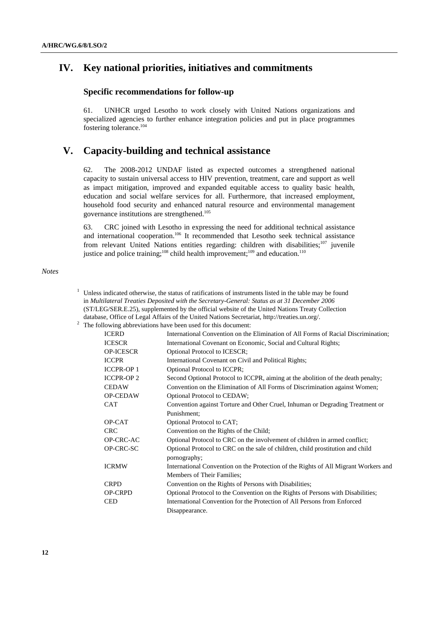## **IV. Key national priorities, initiatives and commitments**

### **Specific recommendations for follow-up**

61. UNHCR urged Lesotho to work closely with United Nations organizations and specialized agencies to further enhance integration policies and put in place programmes fostering tolerance.<sup>104</sup>

## **V. Capacity-building and technical assistance**

62. The 2008-2012 UNDAF listed as expected outcomes a strengthened national capacity to sustain universal access to HIV prevention, treatment, care and support as well as impact mitigation, improved and expanded equitable access to quality basic health, education and social welfare services for all. Furthermore, that increased employment, household food security and enhanced natural resource and environmental management governance institutions are strengthened.105

63. CRC joined with Lesotho in expressing the need for additional technical assistance and international cooperation.<sup>106</sup> It recommended that Lesotho seek technical assistance from relevant United Nations entities regarding: children with disabilities;<sup>107</sup> juvenile justice and police training;<sup>108</sup> child health improvement;<sup>109</sup> and education.<sup>110</sup>

#### *Notes*

 $1$  Unless indicated otherwise, the status of ratifications of instruments listed in the table may be found in *Multilateral Treaties Deposited with the Secretary-General: Status as at 31 December 2006* (ST/LEG/SER.E.25), supplemented by the official website of the United Nations Treaty Collection database, Office of Legal Affairs of the United Nations Secretariat, http://treaties.un.org/.

The following abbreviations have been used for this document:

| <b>ICERD</b>     | International Convention on the Elimination of All Forms of Racial Discrimination;  |
|------------------|-------------------------------------------------------------------------------------|
| <b>ICESCR</b>    | International Covenant on Economic, Social and Cultural Rights;                     |
| <b>OP-ICESCR</b> | Optional Protocol to ICESCR;                                                        |
| <b>ICCPR</b>     | International Covenant on Civil and Political Rights;                               |
| <b>ICCPR-OP1</b> | <b>Optional Protocol to ICCPR;</b>                                                  |
| <b>ICCPR-OP2</b> | Second Optional Protocol to ICCPR, aiming at the abolition of the death penalty;    |
| <b>CEDAW</b>     | Convention on the Elimination of All Forms of Discrimination against Women;         |
| <b>OP-CEDAW</b>  | Optional Protocol to CEDAW;                                                         |
| <b>CAT</b>       | Convention against Torture and Other Cruel, Inhuman or Degrading Treatment or       |
|                  | Punishment:                                                                         |
| OP-CAT           | Optional Protocol to CAT;                                                           |
| <b>CRC</b>       | Convention on the Rights of the Child;                                              |
| OP-CRC-AC        | Optional Protocol to CRC on the involvement of children in armed conflict;          |
| OP-CRC-SC        | Optional Protocol to CRC on the sale of children, child prostitution and child      |
|                  | pornography;                                                                        |
| <b>ICRMW</b>     | International Convention on the Protection of the Rights of All Migrant Workers and |
|                  | Members of Their Families;                                                          |
| <b>CRPD</b>      | Convention on the Rights of Persons with Disabilities;                              |
| <b>OP-CRPD</b>   | Optional Protocol to the Convention on the Rights of Persons with Disabilities;     |
| <b>CED</b>       | International Convention for the Protection of All Persons from Enforced            |
|                  | Disappearance.                                                                      |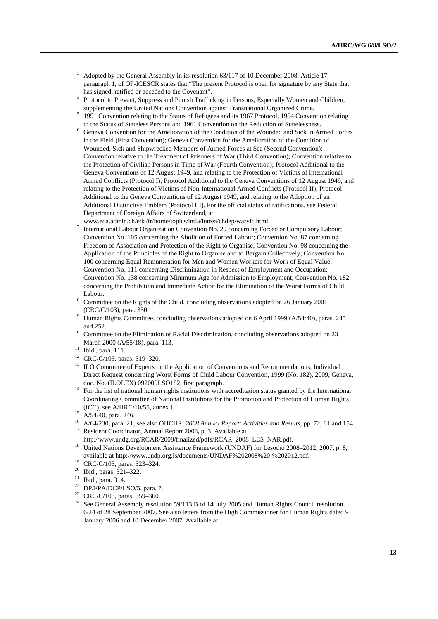- <sup>3</sup> Adopted by the General Assembly in its resolution 63/117 of 10 December 2008. Article 17, paragraph 1, of OP-ICESCR states that "The present Protocol is open for signature by any State that has signed, ratified or acceded to the Covenant".
- <sup>4</sup> Protocol to Prevent, Suppress and Punish Trafficking in Persons, Especially Women and Children, supplementing the United Nations Convention against Transnational Organized Crime.
- <sup>5</sup> 1951 Convention relating to the Status of Refugees and its 1967 Protocol, 1954 Convention relating to the Status of Stateless Persons and 1961 Convention on the Reduction of Statelessness.
- $6$  Geneva Convention for the Amelioration of the Condition of the Wounded and Sick in Armed Forces in the Field (First Convention); Geneva Convention for the Amelioration of the Condition of Wounded, Sick and Shipwrecked Members of Armed Forces at Sea (Second Convention); Convention relative to the Treatment of Prisoners of War (Third Convention); Convention relative to the Protection of Civilian Persons in Time of War (Fourth Convention); Protocol Additional to the Geneva Conventions of 12 August 1949, and relating to the Protection of Victims of International Armed Conflicts (Protocol I); Protocol Additional to the Geneva Conventions of 12 August 1949, and relating to the Protection of Victims of Non-International Armed Conflicts (Protocol II); Protocol Additional to the Geneva Conventions of 12 August 1949, and relating to the Adoption of an Additional Distinctive Emblem (Protocol III). For the official status of ratifications, see Federal Department of Foreign Affairs of Switzerland, at
- www.eda.admin.ch/eda/fr/home/topics/intla/intrea/chdep/warvic.html<br>
<sup>7</sup> International Labour Opposition Convertion Na 20 aggressive Fax International Labour Organization Convention No. 29 concerning Forced or Compulsory Labour; Convention No. 105 concerning the Abolition of Forced Labour; Convention No. 87 concerning Freedom of Association and Protection of the Right to Organise; Convention No. 98 concerning the Application of the Principles of the Right to Organise and to Bargain Collectively; Convention No. 100 concerning Equal Remuneration for Men and Women Workers for Work of Equal Value; Convention No. 111 concerning Discrimination in Respect of Employment and Occupation; Convention No. 138 concerning Minimum Age for Admission to Employment; Convention No. 182 concerning the Prohibition and Immediate Action for the Elimination of the Worst Forms of Child Labour.
- Committee on the Rights of the Child, concluding observations adopted on 26 January 2001 (CRC/C/103), para. 350.
- Human Rights Committee, concluding observations adopted on 6 April 1999 (A/54/40), paras. 245 and 252.<br>Committee on the Elimination of Racial Discrimination, concluding observations adopted on 23
- March 2000 (A/55/18), para. 113.<br><sup>11</sup> Ibid., para. 111.
- 
- 12 CRC/C/103, paras. 319–320.
- <sup>13</sup> ILO Committee of Experts on the Application of Conventions and Recommendations, Individual Direct Request concerning Worst Forms of Child Labour Convention, 1999 (No. 182), 2009, Geneva,
- doc. No. (ILOLEX) 092009LSO182, first paragraph.<br><sup>14</sup> For the list of national human rights institutions with accreditation status granted by the International Coordinating Committee of National Institutions for the Promotion and Protection of Human Rights (ICC), see A/HRC/10/55, annex I. 15 A/54/40, para. 246.
- 
- <sup>16</sup> A/64/230, para. 21; see also OHCHR, *2008 Annual Report: Activities and Results*, pp. 72, 81 and 154.<br><sup>17</sup> Resident Coordinator, Annual Report 2008, p. 3. Available at
- 
- http://www.undg.org/RCAR/2008/finalized/pdfs/RCAR\_2008\_LES\_NAR.pdf. 18 United Nations Development Assistance Framework (UNDAF) for Lesotho 2008–2012, 2007, p. 8, available at http://www.undp.org.ls/documents/UNDAF%202008%20-%202012.pdf. 19 CRC/C/103, paras. 323–324.
- 
- $^{20}$  Ibid., paras.  $321-322$ .<br> $^{21}$  Ibid., para.  $314$
- Ibid., para. 314.
- <sup>22</sup> DP/FPA/DCP/LSO/5, para. 7.
- <sup>23</sup> CRC/C/103, paras. 359–360.
- 24 See General Assembly resolution 59/113 B of 14 July 2005 and Human Rights Council resolution 6/24 of 28 September 2007. See also letters from the High Commissioner for Human Rights dated 9 January 2006 and 10 December 2007. Available at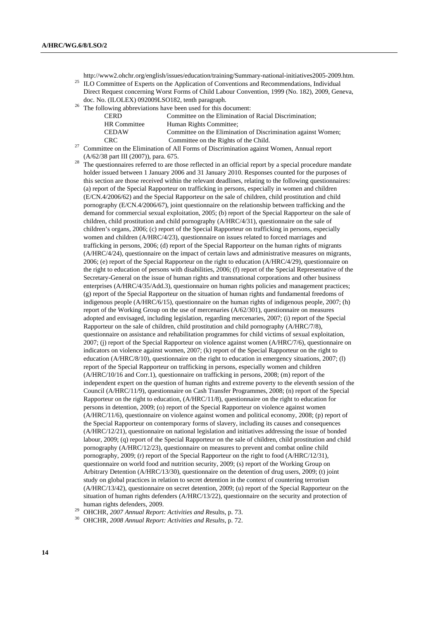http://www2.ohchr.org/english/issues/education/training/Summary-national-initiatives2005-2009.htm. 25 ILO Committee of Experts on the Application of Conventions and Recommendations, Individual

- Direct Request concerning Worst Forms of Child Labour Convention, 1999 (No. 182), 2009, Geneva, doc. No. (ILOLEX) 092009LSO182, tenth paragraph.<br><sup>26</sup> The following abbreviations have been used for this document:
- 

| <b>CERD</b>         | Committee on the Elimination of Racial Discrimination:        |
|---------------------|---------------------------------------------------------------|
| <b>HR</b> Committee | Human Rights Committee;                                       |
| <b>CEDAW</b>        | Committee on the Elimination of Discrimination against Women; |
| CRC.                | Committee on the Rights of the Child.                         |

- $27$  Committee on the Elimination of All Forms of Discrimination against Women, Annual report
- 
- $(A/62/38$  part III (2007)), para. 675.<br><sup>28</sup> The questionnaires referred to are those reflected in an official report by a special procedure mandate holder issued between 1 January 2006 and 31 January 2010. Responses counted for the purposes of this section are those received within the relevant deadlines, relating to the following questionnaires: (a) report of the Special Rapporteur on trafficking in persons, especially in women and children (E/CN.4/2006/62) and the Special Rapporteur on the sale of children, child prostitution and child pornography (E/CN.4/2006/67), joint questionnaire on the relationship between trafficking and the demand for commercial sexual exploitation, 2005; (b) report of the Special Rapporteur on the sale of children, child prostitution and child pornography (A/HRC/4/31), questionnaire on the sale of children's organs, 2006; (c) report of the Special Rapporteur on trafficking in persons, especially women and children (A/HRC/4/23), questionnaire on issues related to forced marriages and trafficking in persons, 2006; (d) report of the Special Rapporteur on the human rights of migrants (A/HRC/4/24), questionnaire on the impact of certain laws and administrative measures on migrants, 2006; (e) report of the Special Rapporteur on the right to education (A/HRC/4/29), questionnaire on the right to education of persons with disabilities, 2006; (f) report of the Special Representative of the Secretary-General on the issue of human rights and transnational corporations and other business enterprises (A/HRC/4/35/Add.3), questionnaire on human rights policies and management practices; (g) report of the Special Rapporteur on the situation of human rights and fundamental freedoms of indigenous people (A/HRC/6/15), questionnaire on the human rights of indigenous people, 2007; (h) report of the Working Group on the use of mercenaries (A/62/301), questionnaire on measures adopted and envisaged, including legislation, regarding mercenaries, 2007; (i) report of the Special Rapporteur on the sale of children, child prostitution and child pornography (A/HRC/7/8), questionnaire on assistance and rehabilitation programmes for child victims of sexual exploitation, 2007; (j) report of the Special Rapporteur on violence against women (A/HRC/7/6), questionnaire on indicators on violence against women, 2007; (k) report of the Special Rapporteur on the right to education (A/HRC/8/10), questionnaire on the right to education in emergency situations, 2007; (l) report of the Special Rapporteur on trafficking in persons, especially women and children (A/HRC/10/16 and Corr.1), questionnaire on trafficking in persons, 2008; (m) report of the independent expert on the question of human rights and extreme poverty to the eleventh session of the Council (A/HRC/11/9), questionnaire on Cash Transfer Programmes, 2008; (n) report of the Special Rapporteur on the right to education, (A/HRC/11/8), questionnaire on the right to education for persons in detention, 2009; (o) report of the Special Rapporteur on violence against women (A/HRC/11/6), questionnaire on violence against women and political economy, 2008; (p) report of the Special Rapporteur on contemporary forms of slavery, including its causes and consequences (A/HRC/12/21), questionnaire on national legislation and initiatives addressing the issue of bonded labour, 2009; (q) report of the Special Rapporteur on the sale of children, child prostitution and child pornography (A/HRC/12/23), questionnaire on measures to prevent and combat online child pornography, 2009; (r) report of the Special Rapporteur on the right to food (A/HRC/12/31), questionnaire on world food and nutrition security, 2009; (s) report of the Working Group on Arbitrary Detention (A/HRC/13/30), questionnaire on the detention of drug users, 2009; (t) joint study on global practices in relation to secret detention in the context of countering terrorism (A/HRC/13/42), questionnaire on secret detention, 2009; (u) report of the Special Rapporteur on the situation of human rights defenders (A/HRC/13/22), questionnaire on the security and protection of human rights defenders, 2009.

human rights defenders, 2009. 29 OHCHR, *2007 Annual Report: Activities and R*esults, p. 73. 30 OHCHR, *2008 Annual Report: Activities and Results*, p. 72.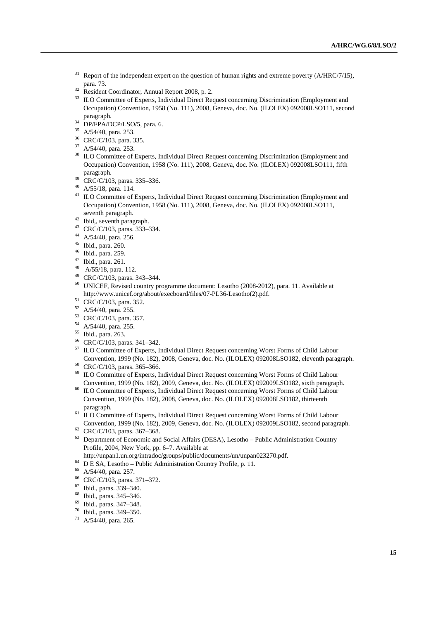- Report of the independent expert on the question of human rights and extreme poverty (A/HRC/7/15), para. 73. 32 Resident Coordinator, Annual Report 2008, p. 2.
- 
- <sup>33</sup> ILO Committee of Experts, Individual Direct Request concerning Discrimination (Employment and Occupation) Convention, 1958 (No. 111), 2008, Geneva, doc. No. (ILOLEX) 092008LSO111, second
- $^{34}$  DP/FPA/DCP/LSO/5, para. 6.
- <sup>35</sup> A/54/40, para. 253.
- 36 CRC/C/103, para. 335.
- 37 A/54/40, para. 253.
- <sup>38</sup> ILO Committee of Experts, Individual Direct Request concerning Discrimination (Employment and Occupation) Convention, 1958 (No. 111), 2008, Geneva, doc. No. (ILOLEX) 092008LSO111, fifth
- paragraph. 39 CRC/C/103, paras. 335–336.
- 40 A/55/18, para. 114.
- <sup>41</sup> ILO Committee of Experts, Individual Direct Request concerning Discrimination (Employment and Occupation) Convention, 1958 (No. 111), 2008, Geneva, doc. No. (ILOLEX) 092008LSO111,
- seventh paragraph.<br><sup>42</sup> Ibid,, seventh paragraph.
- 43 CRC/C/103, paras. 333–334.
- 44 A/54/40, para. 256.
- 45 Ibid., para. 260.
- 46 Ibid., para. 259.
- 47 Ibid., para. 261.
- 48 A/55/18, para. 112.
- 49 CRC/C/103, paras. 343–344.
- 50 UNICEF, Revised country programme document: Lesotho (2008-2012), para. 11. Available at http://www.unicef.org/about/execboard/files/07-PL36-Lesotho(2).pdf.<br>
51 CRC/C/103, para. 352.
- 
- 52 A/54/40, para. 255.
- 53 CRC/C/103, para. 357.
- 54 A/54/40, para. 255.
- 55 Ibid., para. 263.
- 56 CRC/C/103, paras. 341–342.
- 57 ILO Committee of Experts, Individual Direct Request concerning Worst Forms of Child Labour Convention, 1999 (No. 182), 2008, Geneva, doc. No. (ILOLEX) 092008LSO182, eleventh paragraph. 58 CRC/C/103, paras. 365–366.
- 
- <sup>59</sup> ILO Committee of Experts, Individual Direct Request concerning Worst Forms of Child Labour
- Convention, 1999 (No. 182), 2009, Geneva, doc. No. (ILOLEX) 092009LSO182, sixth paragraph. 60 ILO Committee of Experts, Individual Direct Request concerning Worst Forms of Child Labour Convention, 1999 (No. 182), 2008, Geneva, doc. No. (ILOLEX) 092008LSO182, thirteenth
- paragraph. 61 ILO Committee of Experts, Individual Direct Request concerning Worst Forms of Child Labour Convention, 1999 (No. 182), 2009, Geneva, doc. No. (ILOLEX) 092009LSO182, second paragraph.  $^{62}$  CRC/C/103, paras. 367–368.
- 
- 63 Department of Economic and Social Affairs (DESA), Lesotho Public Administration Country Profile, 2004, New York, pp. 6–7. Available at
- http://unpan1.un.org/intradoc/groups/public/documents/un/unpan023270.pdf. 64 D E SA, Lesotho Public Administration Country Profile, p. 11.
- 
- 65 A/54/40, para. 257.
- 66 CRC/C/103, paras. 371–372.
- 67 Ibid., paras. 339–340.
- $^{68}$  Ibid., paras. 345–346.
- 69 Ibid., paras. 347–348.
- 70 Ibid., paras. 349–350.
- 71 A/54/40, para. 265.